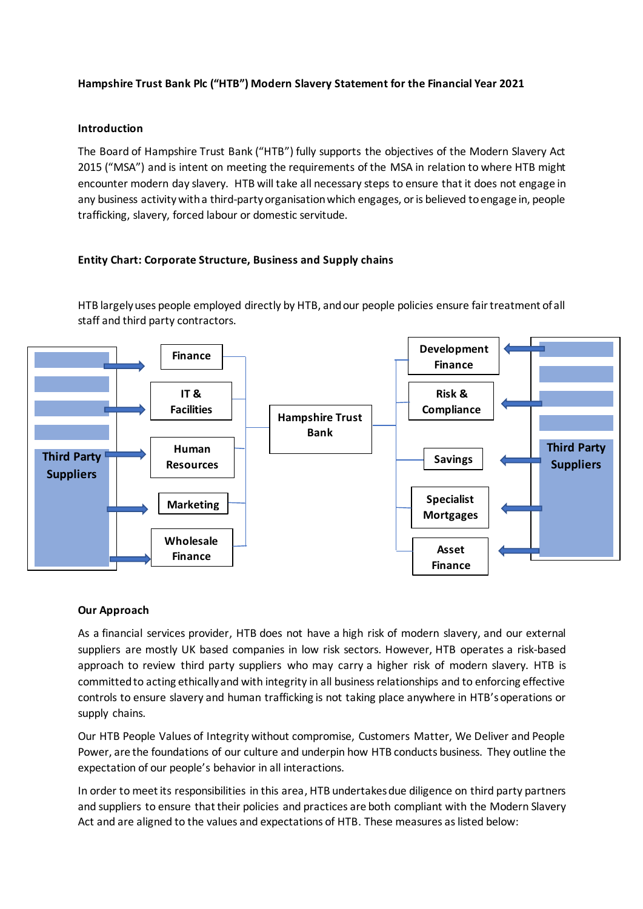# **Hampshire Trust Bank Plc ("HTB") Modern Slavery Statement for the Financial Year 2021**

#### **Introduction**

The Board of Hampshire Trust Bank ("HTB") fully supports the objectives of the Modern Slavery Act 2015 ("MSA") and is intent on meeting the requirements of the MSA in relation to where HTB might encounter modern day slavery. HTB will take all necessary steps to ensure that it does not engage in any business activitywith a third-party organisation which engages, or is believed to engage in, people trafficking, slavery, forced labour or domestic servitude.

### **Entity Chart: Corporate Structure, Business and Supply chains**

HTB largely uses people employed directly by HTB, and our people policies ensure fair treatment of all staff and third party contractors.



### **Our Approach**

As a financial services provider, HTB does not have a high risk of modern slavery, and our external suppliers are mostly UK based companies in low risk sectors. However, HTB operates a risk-based approach to review third party suppliers who may carry a higher risk of modern slavery. HTB is committedto acting ethically and with integrity in all business relationships and to enforcing effective controls to ensure slavery and human trafficking is not taking place anywhere in HTB'soperations or supply chains.

Our HTB People Values of Integrity without compromise, Customers Matter, We Deliver and People Power, are the foundations of our culture and underpin how HTB conducts business. They outline the expectation of our people's behavior in all interactions.

In order to meet its responsibilities in this area, HTB undertakes due diligence on third party partners and suppliers to ensure that their policies and practices are both compliant with the Modern Slavery Act and are aligned to the values and expectations of HTB. These measures as listed below: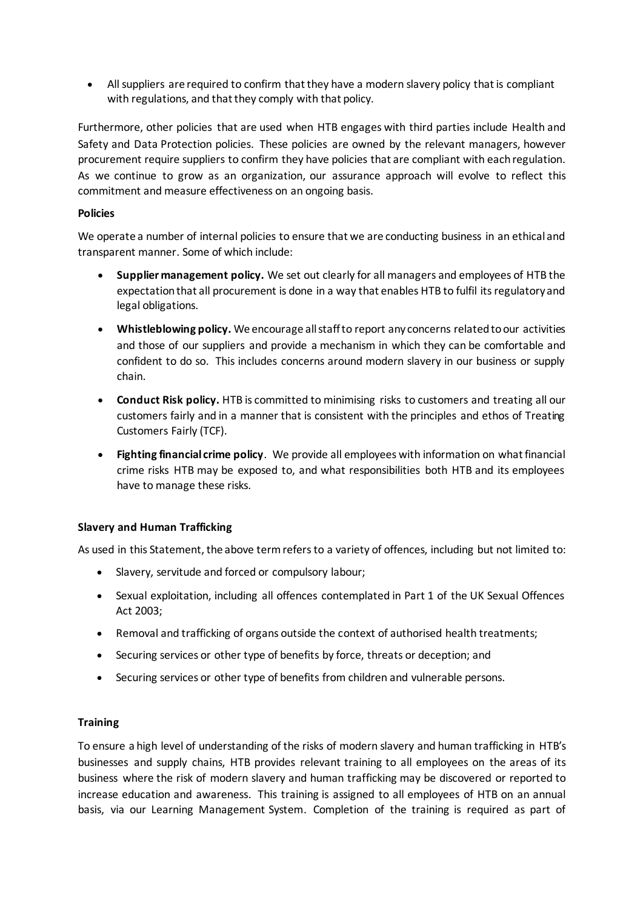All suppliers are required to confirm that they have a modern slavery policy that is compliant with regulations, and that they comply with that policy.

Furthermore, other policies that are used when HTB engages with third parties include Health and Safety and Data Protection policies. These policies are owned by the relevant managers, however procurement require suppliers to confirm they have policies that are compliant with each regulation. As we continue to grow as an organization, our assurance approach will evolve to reflect this commitment and measure effectiveness on an ongoing basis.

## **Policies**

We operate a number of internal policies to ensure that we are conducting business in an ethical and transparent manner. Some of which include:

- **Supplier management policy.** We set out clearly for all managers and employees of HTB the expectation that all procurement is done in a way that enables HTB to fulfil its regulatory and legal obligations.
- **Whistleblowing policy.** We encourage all staff to report any concerns related to our activities and those of our suppliers and provide a mechanism in which they can be comfortable and confident to do so. This includes concerns around modern slavery in our business or supply chain.
- **Conduct Risk policy.** HTB is committed to minimising risks to customers and treating all our customers fairly and in a manner that is consistent with the principles and ethos of Treating Customers Fairly (TCF).
- **Fighting financial crime policy**. We provide all employees with information on what financial crime risks HTB may be exposed to, and what responsibilities both HTB and its employees have to manage these risks.

# **Slavery and Human Trafficking**

As used in this Statement, the above term refers to a variety of offences, including but not limited to:

- Slavery, servitude and forced or compulsory labour;
- Sexual exploitation, including all offences contemplated in Part 1 of the UK Sexual Offences Act 2003;
- Removal and trafficking of organs outside the context of authorised health treatments;
- Securing services or other type of benefits by force, threats or deception; and
- Securing services or other type of benefits from children and vulnerable persons.

### **Training**

To ensure a high level of understanding of the risks of modern slavery and human trafficking in HTB's businesses and supply chains, HTB provides relevant training to all employees on the areas of its business where the risk of modern slavery and human trafficking may be discovered or reported to increase education and awareness. This training is assigned to all employees of HTB on an annual basis, via our Learning Management System. Completion of the training is required as part of